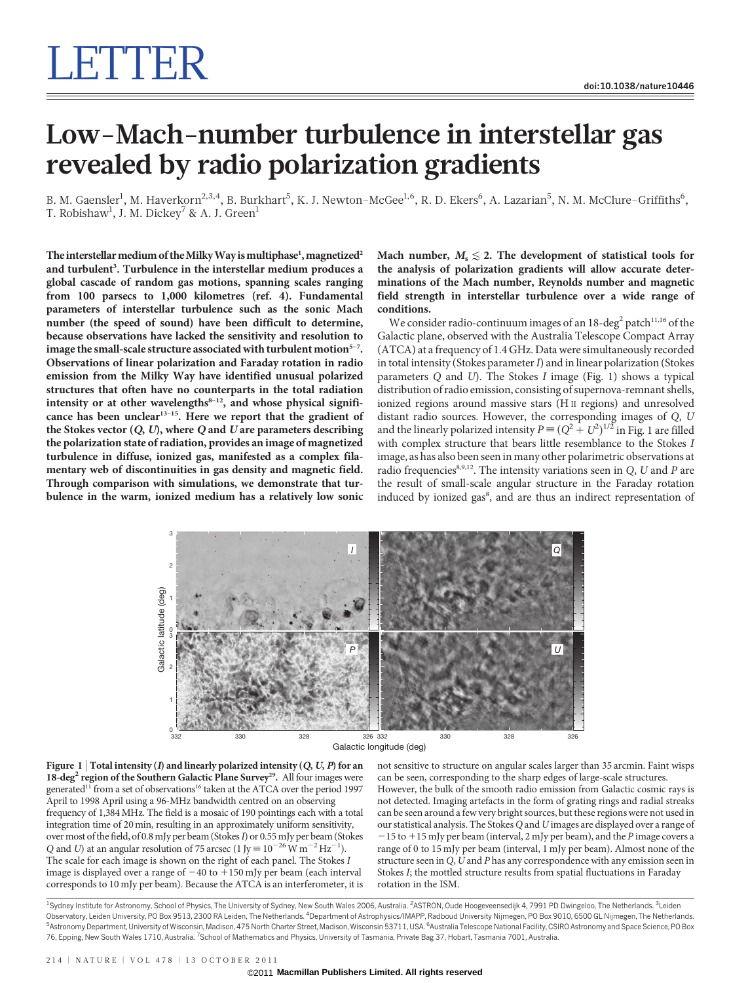## Low-Mach-number turbulence in interstellar gas revealed by radio polarization gradients

B. M. Gaensler<sup>1</sup>, M. Haverkorn<sup>2,3,4</sup>, B. Burkhart<sup>5</sup>, K. J. Newton–McGee<sup>1,6</sup>, R. D. Ekers<sup>6</sup>, A. Lazarian<sup>5</sup>, N. M. McClure–Griffiths<sup>6</sup>, T. Robishaw $^{\rm l}$ , J. M. Dickey $^7$  & A. J. Green $^{\rm l}$ 

The interstellar medium of the Milky Way is multiphase<sup>1</sup>, magnetized $^2$ and turbulent<sup>3</sup>. Turbulence in the interstellar medium produces a global cascade of random gas motions, spanning scales ranging from 100 parsecs to 1,000 kilometres (ref. 4). Fundamental parameters of interstellar turbulence such as the sonic Mach number (the speed of sound) have been difficult to determine, because observations have lacked the sensitivity and resolution to image the small-scale structure associated with turbulent motion $5-7$ . Observations of linear polarization and Faraday rotation in radio emission from the Milky Way have identified unusual polarized structures that often have no counterparts in the total radiation intensity or at other wavelengths $8-12$ , and whose physical significance has been unclear<sup>13-15</sup>. Here we report that the gradient of the Stokes vector  $(Q, U)$ , where  $Q$  and  $U$  are parameters describing the polarization state of radiation, provides an image of magnetized turbulence in diffuse, ionized gas, manifested as a complex filamentary web of discontinuities in gas density and magnetic field. Through comparison with simulations, we demonstrate that turbulence in the warm, ionized medium has a relatively low sonic

Mach number,  $M_s \leq 2$ . The development of statistical tools for the analysis of polarization gradients will allow accurate determinations of the Mach number, Reynolds number and magnetic field strength in interstellar turbulence over a wide range of conditions.

We consider radio-continuum images of an  $18$ -deg<sup>2</sup> patch<sup>11,16</sup> of the Galactic plane, observed with the Australia Telescope Compact Array (ATCA) at a frequency of 1.4 GHz. Data were simultaneously recorded in total intensity (Stokes parameter  $I$ ) and in linear polarization (Stokes parameters Q and U). The Stokes I image (Fig. 1) shows a typical distribution of radio emission, consisting of supernova-remnant shells, ionized regions around massive stars (H II regions) and unresolved distant radio sources. However, the corresponding images of Q, U and the linearly polarized intensity  $P = (Q^2 + U^2)^{1/2}$  in Fig. 1 are filled with complex structure that bears little resemblance to the Stokes I image, as has also been seen in many other polarimetric observations at radio frequencies $8,9,12$ . The intensity variations seen in Q, U and P are the result of small-scale angular structure in the Faraday rotation induced by ionized gas<sup>8</sup>, and are thus an indirect representation of



Figure 1 | Total intensity (*I*) and linearly polarized intensity (*Q*, *U*, *P*) for an 18-deg<sup>2</sup> region of the Southern Galactic Plane Survey<sup>29</sup>. All four images were generated<sup>11</sup> from a set of observations<sup>16</sup> taken at the ATCA over the period 1997 April to 1998 April using a 96-MHz bandwidth centred on an observing frequency of 1,384MHz. The field is a mosaic of 190 pointings each with a total integration time of 20 min, resulting in an approximately uniform sensitivity, over most of the field, of 0.8 mJy per beam (Stokes I) or 0.55 mJy per beam (Stokes Q and U) at an angular resolution of 75 arcsec (1 Jy =  $10^{-26}$  W m<sup>-2</sup> Hz<sup>-1</sup>). The scale for each image is shown on the right of each panel. The Stokes I image is displayed over a range of  $-40$  to  $+150$  mJy per beam (each interval corresponds to 10 mJy per beam). Because the ATCA is an interferometer, it is

not sensitive to structure on angular scales larger than 35 arcmin. Faint wisps can be seen, corresponding to the sharp edges of large-scale structures. However, the bulk of the smooth radio emission from Galactic cosmic rays is not detected. Imaging artefacts in the form of grating rings and radial streaks can be seen around a few very bright sources, but these regions were not used in our statistical analysis. The Stokes Q and U images are displayed over a range of  $-15$  to  $+15$  mJy per beam (interval, 2 mJy per beam), and the P image covers a range of 0 to 15 mJy per beam (interval, 1 mJy per beam). Almost none of the structure seen in  $Q$ ,  $U$  and  $P$  has any correspondence with any emission seen in Stokes I; the mottled structure results from spatial fluctuations in Faraday rotation in the ISM.

<sup>1</sup>Sydney Institute for Astronomy, School of Physics, The University of Sydney, New South Wales 2006, Australia. <sup>2</sup>ASTRON, Oude Hoogeveensedijk 4, 7991 PD Dwingeloo, The Netherlands. <sup>3</sup>Leider Observatory, Leiden University, PO Box 9513, 2300 RA Leiden, The Netherlands. <sup>4</sup>Department of Astrophysics/IMAPP, Radboud University Nijmegen, PO Box 9010, 6500 GL Nijmegen, The Netherlands <sup>5</sup>Astronomy Department, University of Wisconsin, Madison, 475 North Charter Street, Madison, Wisconsin 53711, USA. <sup>6</sup>Australia Telescope National Facility, CSIRO Astronomy and Space Science, PO Box 76, Epping, New South Wales 1710, Australia. <sup>7</sup>School of Mathematics and Physics, University of Tasmania, Private Bag 37, Hobart, Tasmania 7001, Australia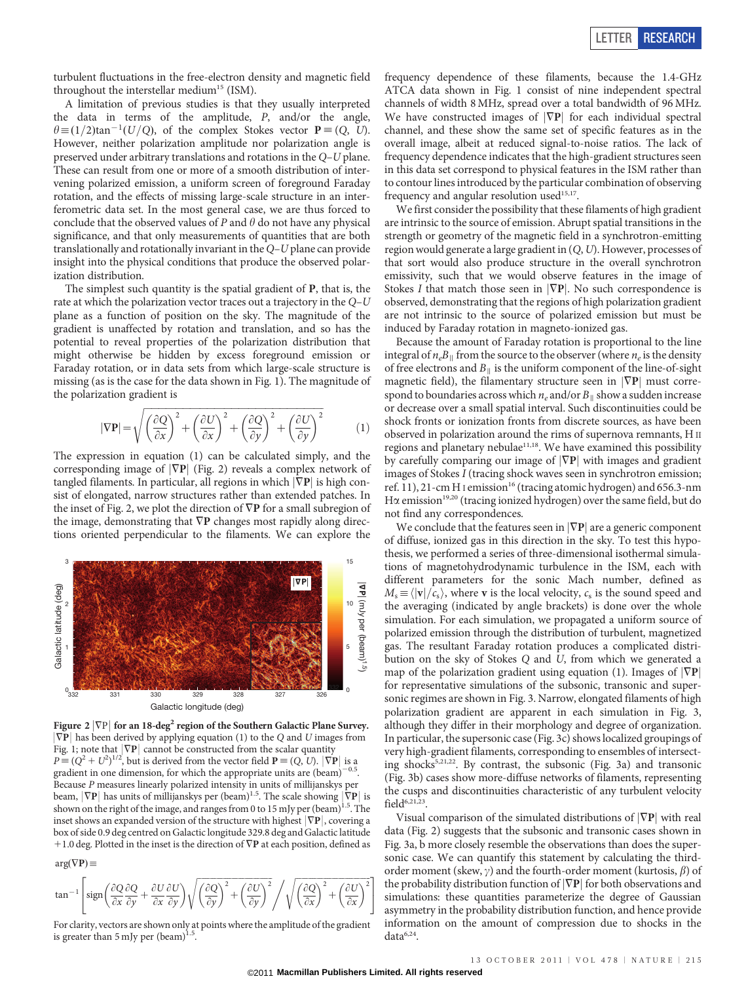turbulent fluctuations in the free-electron density and magnetic field throughout the interstellar medium<sup>15</sup> (ISM).

A limitation of previous studies is that they usually interpreted the data in terms of the amplitude, P, and/or the angle,  $\theta \equiv (1/2)\tan^{-1}(U/Q)$ , of the complex Stokes vector  $P \equiv (Q, U)$ . However, neither polarization amplitude nor polarization angle is preserved under arbitrary translations and rotations in the Q–U plane. These can result from one or more of a smooth distribution of intervening polarized emission, a uniform screen of foreground Faraday rotation, and the effects of missing large-scale structure in an interferometric data set. In the most general case, we are thus forced to conclude that the observed values of  $P$  and  $\theta$  do not have any physical significance, and that only measurements of quantities that are both translationally and rotationally invariant in the  $Q-U$  plane can provide insight into the physical conditions that produce the observed polarization distribution.

The simplest such quantity is the spatial gradient of P, that is, the rate at which the polarization vector traces out a trajectory in the Q–U plane as a function of position on the sky. The magnitude of the gradient is unaffected by rotation and translation, and so has the potential to reveal properties of the polarization distribution that might otherwise be hidden by excess foreground emission or Faraday rotation, or in data sets from which large-scale structure is missing (as is the case for the data shown in Fig. 1). The magnitude of the polarization gradient is

$$
|\nabla \mathbf{P}| = \sqrt{\left(\frac{\partial Q}{\partial x}\right)^2 + \left(\frac{\partial U}{\partial x}\right)^2 + \left(\frac{\partial Q}{\partial y}\right)^2 + \left(\frac{\partial U}{\partial y}\right)^2}
$$
(1)

The expression in equation (1) can be calculated simply, and the corresponding image of  $|\nabla P|$  (Fig. 2) reveals a complex network of tangled filaments. In particular, all regions in which  $|\nabla P|$  is high consist of elongated, narrow structures rather than extended patches. In the inset of Fig. 2, we plot the direction of  $\nabla$ **P** for a small subregion of the image, demonstrating that  $\nabla P$  changes most rapidly along directions oriented perpendicular to the filaments. We can explore the



Figure 2  $|\nabla P|$  for an 18-deg<sup>2</sup> region of the Southern Galactic Plane Survey.  $|\nabla P|$  has been derived by applying equation (1) to the Q and U images from Fig. 1; note that  $|\nabla P|$  cannot be constructed from the scalar quantity  $P = (Q^2 + U^2)^{1/2}$ , but is derived from the vector field  $P = (Q, U)$ .  $|\nabla P|$  is a gradient in one dimension, for which the appropriate units are  $(beam)^{-0.5}$ Because P measures linearly polarized intensity in units of millijanskys per beam,  $|\nabla P|$  has units of millijanskys per (beam)<sup>1.5</sup>. The scale showing  $|\nabla P|$  is shown on the right of the image, and ranges from 0 to 15 mJy per (beam)<sup>1.5</sup>. The inset shows an expanded version of the structure with highest  $|\nabla P|$ , covering a box of side 0.9 deg centred on Galactic longitude 329.8 deg and Galactic latitude  $+1.0$  deg. Plotted in the inset is the direction of  $\nabla$ **P** at each position, defined as

 $arg(\nabla P) \equiv$ 

$$
\tan^{-1}\left[\operatorname{sign}\left(\frac{\partial Q}{\partial x}\frac{\partial Q}{\partial y} + \frac{\partial U}{\partial x}\frac{\partial U}{\partial y}\right)\sqrt{\left(\frac{\partial Q}{\partial y}\right)^2 + \left(\frac{\partial U}{\partial y}\right)^2} \middle/ \sqrt{\left(\frac{\partial Q}{\partial x}\right)^2 + \left(\frac{\partial U}{\partial x}\right)^2}\right]
$$

For clarity, vectors are shown only at points where the amplitude of the gradient is greater than 5 mJy per  $(beam)^{1}$ .

frequency dependence of these filaments, because the 1.4-GHz ATCA data shown in Fig. 1 consist of nine independent spectral channels of width 8 MHz, spread over a total bandwidth of 96 MHz. We have constructed images of  $|\nabla P|$  for each individual spectral channel, and these show the same set of specific features as in the overall image, albeit at reduced signal-to-noise ratios. The lack of frequency dependence indicates that the high-gradient structures seen in this data set correspond to physical features in the ISM rather than to contour lines introduced by the particular combination of observing frequency and angular resolution used<sup>15,17</sup>.

We first consider the possibility that these filaments of high gradient are intrinsic to the source of emission. Abrupt spatial transitions in the strength or geometry of the magnetic field in a synchrotron-emitting region would generate a large gradient in (Q,U). However, processes of that sort would also produce structure in the overall synchrotron emissivity, such that we would observe features in the image of Stokes I that match those seen in  $|\nabla P|$ . No such correspondence is observed, demonstrating that the regions of high polarization gradient are not intrinsic to the source of polarized emission but must be induced by Faraday rotation in magneto-ionized gas.

Because the amount of Faraday rotation is proportional to the line integral of  $n_eB_{\parallel}$  from the source to the observer (where  $n_e$  is the density of free electrons and  $B_{\parallel}$  is the uniform component of the line-of-sight magnetic field), the filamentary structure seen in  $|\nabla P|$  must correspond to boundaries across which  $n_e$  and/or  $B_{\parallel}$  show a sudden increase or decrease over a small spatial interval. Such discontinuities could be shock fronts or ionization fronts from discrete sources, as have been observed in polarization around the rims of supernova remnants, H II regions and planetary nebulae<sup>11,18</sup>. We have examined this possibility by carefully comparing our image of  $|\nabla P|$  with images and gradient images of Stokes I (tracing shock waves seen in synchrotron emission; ref. 11), 21-cm H<sub>I</sub> emission<sup>16</sup> (tracing atomic hydrogen) and 656.3-nm H $\alpha$  emission<sup>19,20</sup> (tracing ionized hydrogen) over the same field, but do not find any correspondences.

We conclude that the features seen in  $|\nabla P|$  are a generic component of diffuse, ionized gas in this direction in the sky. To test this hypothesis, we performed a series of three-dimensional isothermal simulations of magnetohydrodynamic turbulence in the ISM, each with different parameters for the sonic Mach number, defined as  $M_s \equiv \langle |\mathbf{v}|/c_s \rangle$ , where **v** is the local velocity,  $c_s$  is the sound speed and the averaging (indicated by angle brackets) is done over the whole simulation. For each simulation, we propagated a uniform source of polarized emission through the distribution of turbulent, magnetized gas. The resultant Faraday rotation produces a complicated distribution on the sky of Stokes Q and U, from which we generated a map of the polarization gradient using equation (1). Images of  $|\nabla P|$ for representative simulations of the subsonic, transonic and supersonic regimes are shown in Fig. 3. Narrow, elongated filaments of high polarization gradient are apparent in each simulation in Fig. 3, although they differ in their morphology and degree of organization. In particular, the supersonic case (Fig. 3c) shows localized groupings of very high-gradient filaments, corresponding to ensembles of intersecting shocks5,21,22. By contrast, the subsonic (Fig. 3a) and transonic (Fig. 3b) cases show more-diffuse networks of filaments, representing the cusps and discontinuities characteristic of any turbulent velocity  $field^{6,21,23}$ 

Visual comparison of the simulated distributions of  $|\nabla P|$  with real data (Fig. 2) suggests that the subsonic and transonic cases shown in Fig. 3a, b more closely resemble the observations than does the supersonic case. We can quantify this statement by calculating the thirdorder moment (skew,  $\gamma$ ) and the fourth-order moment (kurtosis,  $\beta$ ) of the probability distribution function of  $|\nabla P|$  for both observations and simulations: these quantities parameterize the degree of Gaussian asymmetry in the probability distribution function, and hence provide information on the amount of compression due to shocks in the  $data^{6,24}$ .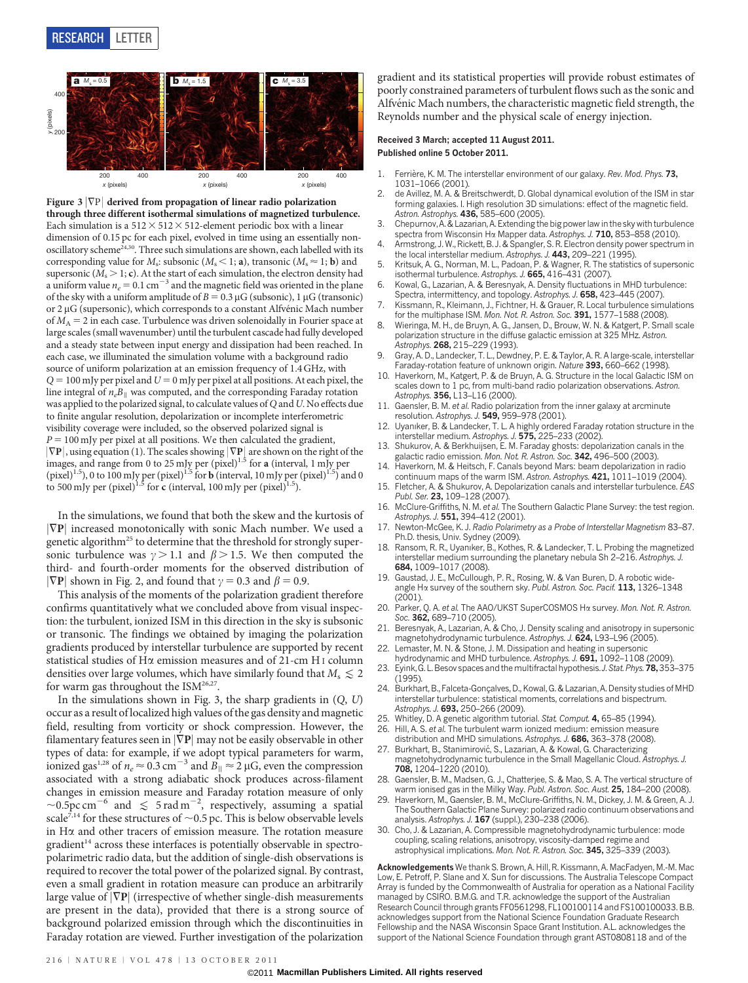

Figure 3  $|\nabla P|$  derived from propagation of linear radio polarization through three different isothermal simulations of magnetized turbulence. Each simulation is a  $512 \times 512 \times 512$ -element periodic box with a linear dimension of 0.15 pc for each pixel, evolved in time using an essentially nonoscillatory scheme<sup>24,30</sup>. Three such simulations are shown, each labelled with its corresponding value for  $M_s$ : subsonic ( $M_s$  < 1; **a**), transonic ( $M_s \approx 1$ ; **b**) and supersonic ( $M_s > 1$ ; c). At the start of each simulation, the electron density had a uniform value  $n_e = 0.1 \text{ cm}^{-3}$  and the magnetic field was oriented in the plane of the sky with a uniform amplitude of  $B = 0.3 \mu$ G (subsonic), 1  $\mu$ G (transonic) or  $2 \mu G$  (supersonic), which corresponds to a constant Alfvénic Mach number of  $M_A = 2$  in each case. Turbulence was driven solenoidally in Fourier space at large scales (small wavenumber) until the turbulent cascade had fully developed and a steady state between input energy and dissipation had been reached. In each case, we illuminated the simulation volume with a background radio source of uniform polarization at an emission frequency of 1.4 GHz, with  $Q = 100$  mJy per pixel and  $U = 0$  mJy per pixel at all positions. At each pixel, the line integral of  $n_eB_{\parallel}$  was computed, and the corresponding Faraday rotation was applied to the polarized signal, to calculate values of  $Q$  and  $U$ . No effects due to finite angular resolution, depolarization or incomplete interferometric visibility coverage were included, so the observed polarized signal is  $P = 100$  mJy per pixel at all positions. We then calculated the gradient,  $|\nabla \mathbf{P}|$ , using equation (1). The scales showing  $|\nabla \mathbf{P}|$  are shown on the right of the images, and range from 0 to 25 mJy per (pixel)<sup>1.5</sup> for **a** (interval, 1 mJy per (pixel)<sup>1.5</sup>), 0 to 100 mJy per (pixel)<sup>1.5</sup> for **b** (interval, 10 mJy per (pixel)<sup>1.5</sup>) and 0 to 500 mJy per (pixel)<sup>1.5</sup> for c (interval, 100 mJy per (pixel)<sup>1.5</sup>).

In the simulations, we found that both the skew and the kurtosis of  $|\nabla P|$  increased monotonically with sonic Mach number. We used a genetic algorithm<sup>25</sup> to determine that the threshold for strongly supersonic turbulence was  $\gamma > 1.1$  and  $\beta > 1.5$ . We then computed the third- and fourth-order moments for the observed distribution of  $|\nabla P|$  shown in Fig. 2, and found that  $\gamma = 0.3$  and  $\beta = 0.9$ .

This analysis of the moments of the polarization gradient therefore confirms quantitatively what we concluded above from visual inspection: the turbulent, ionized ISM in this direction in the sky is subsonic or transonic. The findings we obtained by imaging the polarization gradients produced by interstellar turbulence are supported by recent statistical studies of Ha emission measures and of 21-cm H I column densities over large volumes, which have similarly found that  $M_s \lesssim 2$ for warm gas throughout the ISM<sup>26,27</sup>.

In the simulations shown in Fig. 3, the sharp gradients in  $(Q, U)$ occur as a result of localized high values of the gas density and magnetic field, resulting from vorticity or shock compression. However, the filamentary features seen in  $|\nabla P|$  may not be easily observable in other types of data: for example, if we adopt typical parameters for warm, ionized gas<sup>1,28</sup> of  $n_e \approx 0.3$  cm<sup>-3</sup> and  $B_{\parallel} \approx 2 \mu G$ , even the compression associated with a strong adiabatic shock produces across-filament changes in emission measure and Faraday rotation measure of only  $\sim$ 0.5pc cm<sup>-6</sup> and  $\leq 5$  rad m<sup>-2</sup>, respectively, assuming a spatial scale<sup>7,14</sup> for these structures of  $\sim$  0.5 pc. This is below observable levels in  $H\alpha$  and other tracers of emission measure. The rotation measure gradient<sup>14</sup> across these interfaces is potentially observable in spectropolarimetric radio data, but the addition of single-dish observations is required to recover the total power of the polarized signal. By contrast, even a small gradient in rotation measure can produce an arbitrarily large value of  $|\nabla P|$  (irrespective of whether single-dish measurements are present in the data), provided that there is a strong source of background polarized emission through which the discontinuities in Faraday rotation are viewed. Further investigation of the polarization

gradient and its statistical properties will provide robust estimates of poorly constrained parameters of turbulent flows such as the sonic and Alfvénic Mach numbers, the characteristic magnetic field strength, the Reynolds number and the physical scale of energy injection.

## Received 3 March; accepted 11 August 2011. Published online 5 October 2011.

- 1. Ferrière, K. M. The interstellar environment of our galaxy. Rev. Mod. Phys. 73, 1031–1066 (2001).
- 2. de Avillez, M. A. & Breitschwerdt, D. Global dynamical evolution of the ISM in star forming galaxies. I. High resolution 3D simulations: effect of the magnetic field. Astron. Astrophys. 436, 585–600 (2005).
- 3. Chepurnov, A. & Lazarian, A. Extending the big power law in the sky with turbulence spectra from Wisconsin Ha Mapper data. Astrophys. J. 710, 853-858 (2010).
- Armstrong, J. W., Rickett, B. J. & Spangler, S. R. Electron density power spectrum in the local interstellar medium. Astrophys. J. 443, 209-221 (1995).
- 5. Kritsuk, A. G., Norman, M. L., Padoan, P. & Wagner, R. The statistics of supersonic isothermal turbulence. Astrophys. J. 665, 416–431 (2007).
- 6. Kowal, G., Lazarian, A. & Beresnyak, A. Density fluctuations in MHD turbulence: Spectra, intermittency, and topology. Astrophys. J. 658, 423-445 (2007).
- 7. Kissmann, R., Kleimann, J., Fichtner, H. & Grauer, R. Local turbulence simulations for the multiphase ISM. Mon. Not. R. Astron. Soc. 391, 1577-1588 (2008).
- 8. Wieringa, M. H., de Bruyn, A. G., Jansen, D., Brouw, W. N. & Katgert, P. Small scale polarization structure in the diffuse galactic emission at 325 MHz. Astron. Astrophys. 268, 215–229 (1993).
- 9. Gray, A. D., Landecker, T. L., Dewdney, P. E. & Taylor, A. R. A large-scale, interstellar Faraday-rotation feature of unknown origin. Nature 393, 660-662 (1998).
- 10. Haverkorn, M., Katgert, P. & de Bruyn, A. G. Structure in the local Galactic ISM on scales down to 1 pc, from multi-band radio polarization observations. Astron. Astrophys. 356, L13-L16 (2000).
- 11. Gaensler, B. M. et al. Radio polarization from the inner galaxy at arcminute resolution. Astrophys. J. 549, 959–978 (2001).
- 12. Uyanıker, B. & Landecker, T. L. A highly ordered Faraday rotation structure in the interstellar medium. Astrophys. J. 575, 225–233 (2002).
- 13. Shukurov, A. & Berkhuijsen, E. M. Faraday ghosts: depolarization canals in the galactic radio emission. Mon. Not. R. Astron. Soc. 342, 496–500 (2003).
- 14. Haverkorn, M. & Heitsch, F. Canals beyond Mars: beam depolarization in radio continuum maps of the warm ISM. Astron. Astrophys. 421, 1011-1019 (2004)
- 15. Fletcher, A. & Shukurov, A. Depolarization canals and interstellar turbulence. EAS Publ. Ser. 23, 109-128 (2007).
- 16. McClure-Griffiths, N. M. et al. The Southern Galactic Plane Survey: the test region. Astrophys. J. 551, 394-412 (2001).
- 17. Newton-McGee, K. J. Radio Polarimetry as a Probe of Interstellar Magnetism 83–87. Ph.D. thesis, Univ. Sydney (2009).
- Ransom, R. R., Uyanıker, B., Kothes, R. & Landecker, T. L. Probing the magnetized interstellar medium surrounding the planetary nebula Sh 2–216. Astrophys. J. 684, 1009–1017 (2008).
- 19. Gaustad, J. E., McCullough, P. R., Rosing, W. & Van Buren, D. A robotic wideangle H $\alpha$  survey of the southern sky. Publ. Astron. Soc. Pacif.  $113$ , 1326-1348  $(2001)$
- 20. Parker, Q. A. et al. The AAO/UKST SuperCOSMOS Ha survey. Mon. Not. R. Astron. Soc. 362, 689-710 (2005).
- Beresnyak, A., Lazarian, A. & Cho, J. Density scaling and anisotropy in supersonic magnetohydrodynamic turbulence. Astrophys. J. 624, L93–L96 (2005).
- Lemaster, M. N. & Stone, J. M. Dissipation and heating in supersonic hydrodynamic and MHD turbulence. Astrophys. J. 691, 1092-1108 (2009).
- 23. Eyink, G. L. Besov spaces and the multifractal hypothesis. J. Stat. Phys. 78, 353-375  $(1995)$
- 24. Burkhart, B., Falceta-Gonçalves, D., Kowal, G. & Lazarian, A. Density studies of MHD interstellar turbulence: statistical moments, correlations and bispectrum. Astrophys. J. 693, 250-266 (2009).
- 
- 25. Whitley, D. A genetic algorithm tutorial. Stat. Comput. 4, 65–85 (1994).<br>26. Hill A. S. et al. The turbulent warm ionized medium: emission measure Hill, A. S. et al. The turbulent warm ionized medium: emission measure
- distribution and MHD simulations. Astrophys. J. 686, 363-378 (2008).
- 27. Burkhart, B., Stanimirović, S., Lazarian, A. & Kowal, G. Characterizing magnetohydrodynamic turbulence in the Small Magellanic Cloud. Astrophys. J. 708, 1204–1220 (2010).
- Gaensler, B. M., Madsen, G. J., Chatterjee, S. & Mao, S. A. The vertical structure of warm ionised gas in the Milky Way. Publ. Astron. Soc. Aust. 25, 184–200 (2008).
- 29. Haverkorn, M., Gaensler, B. M., McClure-Griffiths, N. M., Dickey, J. M. & Green, A. J. The Southern Galactic Plane Survey: polarized radio continuum observations and analysis. Astrophys. J. 167 (suppl.), 230–238 (2006).
- 30. Cho, J. & Lazarian, A. Compressible magnetohydrodynamic turbulence: mode coupling, scaling relations, anisotropy, viscosity-damped regime and astrophysical implications. Mon. Not. R. Astron. Soc. 345, 325–339 (2003).

Acknowledgements We thank S. Brown, A. Hill, R. Kissmann, A. MacFadyen, M.-M. Mac Low, E. Petroff, P. Slane and X. Sun for discussions. The Australia Telescope Compact Array is funded by the Commonwealth of Australia for operation as a National Facility managed by CSIRO. B.M.G. and T.R. acknowledge the support of the Australian Research Council through grants FF0561298, FL100100114 and FS100100033. B.B. acknowledges support from the National Science Foundation Graduate Research Fellowship and the NASA Wisconsin Space Grant Institution. A.L. acknowledges the support of the National Science Foundation through grant AST0808118 and of the